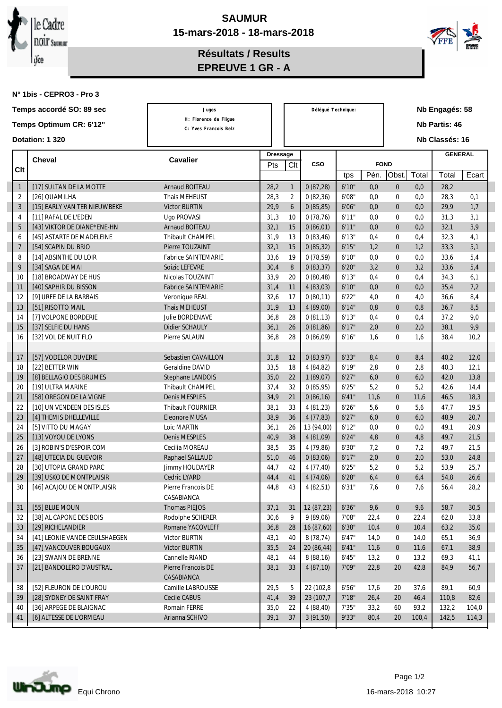



**Résultats / Results EPREUVE 1 GR - A**

**N° 1bis - CEPRO3 - Pro 3**

| Temps accordé SO: 89 sec |                               | Juges                      |                 | Délégué Technique: |            |        |             | Nb Engagés: 58       |       |                |       |
|--------------------------|-------------------------------|----------------------------|-----------------|--------------------|------------|--------|-------------|----------------------|-------|----------------|-------|
| Temps Optimum CR: 6'12"  |                               | H: Florence de Fligue      |                 |                    |            |        |             | <b>Nb Partis: 46</b> |       |                |       |
|                          |                               | C: Yves Francois Belz      |                 |                    |            |        |             |                      |       |                |       |
| Dotation: 1 320          |                               |                            |                 |                    |            |        |             |                      |       | Nb Classés: 16 |       |
| <b>Cheval</b>            |                               | <b>Cavalier</b>            | <b>Dressage</b> |                    |            |        |             |                      |       | <b>GENERAL</b> |       |
| Clt                      |                               |                            | Pts             | Clt                | <b>CSO</b> |        | <b>FOND</b> |                      |       |                |       |
|                          |                               |                            |                 |                    |            | tps    | Pén.        | Obst.                | Total | Total          | Ecart |
| $\mathbf{1}$             | [17] SULTAN DE LA MOTTE       | <b>Arnaud BOITEAU</b>      | 28,2            | $\mathbf{1}$       | 0(87,28)   | 6'10"  | 0,0         | $\bf{0}$             | 0,0   | 28,2           |       |
| $\boldsymbol{2}$         | [26] QUAMILHA                 | Thais MEHEUST              | 28,3            | $\boldsymbol{2}$   | 0(82,36)   | 6'08"  | 0,0         | $\bf{0}$             | 0,0   | 28,3           | 0,1   |
| 3                        | [15] EARLY VAN TER NIEUWBEKE  | Victor BURTIN              | 29,9            | $6\phantom{1}$     | 0(85, 85)  | 6'06"  | 0,0         | $\mathbf{0}$         | 0,0   | 29,9           | 1,7   |
| $\overline{4}$           | [11] RAFAL DE L'EDEN          | <b>Ugo PROVASI</b>         | 31,3            | 10                 | 0(78,76)   | 6'11"  | 0,0         | $\bf{0}$             | 0,0   | 31,3           | 3,1   |
| $5\phantom{.0}$          | [43] VIKTOR DE DIANE*ENE-HN   | <b>Arnaud BOITEAU</b>      | 32,1            | 15                 | 0(86,01)   | 6'11"  | 0,0         | $\boldsymbol{0}$     | 0,0   | 32,1           | 3,9   |
| 6                        | [45] ASTARTE DE MADELEINE     | Thibault CHAMPEL           | 31,9            | 13                 | 0(83, 46)  | 6'13"  | 0,4         | $\bf{0}$             | 0,4   | 32,3           | 4,1   |
| $\overline{7}$           | [54] SCAPIN DU BRIO           | Pierre TOUZAINT            | 32,1            | 15                 | 0(85,32)   | 6'15"  | 1,2         | $\bf{0}$             | 1,2   | 33,3           | 5,1   |
| 8                        | [14] ABSINTHE DU LOIR         | <b>Fabrice SAINTEMARIE</b> | 33,6            | 19                 | 0(78,59)   | 6'10"  | 0,0         | $\bf{0}$             | 0,0   | 33,6           | 5,4   |
| 9                        | [34] SAGA DE MAI              | Soizic LEFEVRE             | 30,4            | 8                  | 0(83, 37)  | 6'20'' | 3,2         | $\boldsymbol{0}$     | 3,2   | 33,6           | 5,4   |
| 10                       | [18] BROADWAY DE HUS          | Nicolas TOUZAINT           | 33,9            | 20                 | 0(80, 48)  | 6'13"  | 0,4         | $\bf{0}$             | 0,4   | 34,3           | 6,1   |
| 11                       | [40] SAPHIR DU BISSON         | <b>Fabrice SAINTEMARIE</b> | 31,4            | 11                 | 4(83,03)   | 6'10"  | 0,0         | $\boldsymbol{0}$     | 0,0   | 35,4           | 7,2   |
| 12                       | [9] URFE DE LA BARBAIS        | Veronique REAL             | 32,6            | 17                 | 0(80,11)   | 6'22"  | 4,0         | $\bf{0}$             | 4,0   | 36,6           | 8,4   |
| 13                       | [51] RISOTTO MAIL             | Thais MEHEUST              | 31,9            | 13                 | 4(89,00)   | 6'14"  | 0,8         | $\boldsymbol{0}$     | 0,8   | 36,7           | 8,5   |
| 14                       | [7] VOLPONE BORDERIE          | Julie BORDENAVE            | 36,8            | 28                 | 0(81,13)   | 6'13"  | 0,4         | $\mathbf{0}$         | 0,4   | 37,2           | 9,0   |
| 15                       | [37] SELFIE DU HANS           | Didier SCHAULY             | 36,1            | 26                 | 0(81,86)   | 6'17"  | 2,0         | $\boldsymbol{0}$     | 2,0   | 38,1           | 9,9   |
| 16                       | [32] VOL DE NUIT FLO          | Pierre SALAUN              | 36,8            | 28                 | 0(86,09)   | 6'16"  | 1,6         | $\bf{0}$             | 1,6   | 38,4           | 10,2  |
|                          |                               |                            |                 |                    |            |        |             |                      |       |                |       |
| 17                       | [57] VODELOR DUVERIE          | Sebastien CAVAILLON        | 31,8            | 12                 | 0(83,97)   | 6'33"  | 8,4         | $\bf{0}$             | 8,4   | 40,2           | 12,0  |
| 18                       | [22] BETTER WIN               | Geraldine DAVID            | 33,5            | 18                 | 4(84,82)   | 6'19'' | 2,8         | $\bf{0}$             | 2,8   | 40,3           | 12,1  |
| 19                       | [8] BELLAGIO DES BRUMES       | Stephane LANDOIS           | 35,0            | 22                 | 1(89,07)   | 6'27'' | 6,0         | $\bf{0}$             | 6,0   | 42,0           | 13,8  |
| 20                       | [19] ULTRA MARINE             | Thibault CHAMPEL           | 37,4            | 32                 | 0(85,95)   | 6'25'' | 5,2         | $\bf{0}$             | 5,2   | 42,6           | 14,4  |
| 21                       | [58] OREGON DE LA VIGNE       | Denis MESPLES              | 34,9            | 21                 | 0(86,16)   | 6'41'' | 11,6        | $\bf{0}$             | 11,6  | 46,5           | 18,3  |
| 22                       | [10] UN VENDEEN DES ISLES     | Thibault FOURNIER          | 38,1            | 33                 | 4(81,23)   | 6'26'' | 5,6         | $\bf{0}$             | 5,6   | 47,7           | 19,5  |
| 23                       | [4] THEMIS DHELLEVILLE        | <b>Eleonore MUSA</b>       | 38,9            | 36                 | 4(77,83)   | 6'27'' | 6,0         | $\bf{0}$             | 6,0   | 48,9           | 20,7  |
| 24                       | [5] VITTO DU MAGAY            | Loic MARTIN                | 36,1            | 26                 | 13 (94,00) | 6'12"  | 0,0         | $\bf{0}$             | 0,0   | 49,1           | 20,9  |
| 25                       | [13] VOYOU DE LYONS           | Denis MESPLES              | 40,9            | 38                 | 4(81,09)   | 6'24"  | 4,8         | $\bf{0}$             | 4,8   | 49,7           | 21,5  |
| 26                       | [3] ROBIN'S D'ESPOIR COM      | Cecilia MOREAU             | 38,5            | 35                 | 4 (79,86)  | 6'30"  | 7,2         | $\bf{0}$             | 7,2   | 49.7           | 21,5  |
| 27                       | [48] UTECIA DU GUEVOIR        | Raphael SALLAUD            | 51,0            | 46                 | 0(83,06)   | 6'17'' | 2,0         | $\bf{0}$             | 2,0   | 53,0           | 24,8  |
| 28                       | [30] UTOPIA GRAND PARC        | Jimmy HOUDAYER             | 44,7            | 42                 | 4(77, 40)  | 6'25'' | 5,2         | $\bf{0}$             | 5,2   | 53,9           | 25,7  |
| 29                       | [39] USKO DE MONTPLAISIR      | Cedric LYARD               | 44,4            | 41                 | 4(74,06)   | 6'28"  | 6,4         | $\mathbf{0}$         | 6,4   | 54,8           | 26,6  |
| 30                       | [46] ACAJOU DE MONTPLAISIR    | Pierre Francois DE         | 44,8            | 43                 | 4(82,51)   | 6'31"  | 7,6         | $\boldsymbol{0}$     | 7,6   | 56,4           | 28,2  |
|                          |                               | CASABIANCA                 |                 |                    |            |        |             |                      |       |                |       |
| 31                       | [55] BLUE MOUN                | <b>Thomas PIEJOS</b>       | 37,1            | 31                 | 12 (87,23) | 6'36"  | 9,6         | $\bf{0}$             | 9,6   | 58,7           | 30,5  |
| 32                       | [38] AL CAPONE DES BOIS       | Rodolphe SCHERER           | 30,6            | 9                  | 9(89,06)   | 7'08"  | 22,4        | $\boldsymbol{0}$     | 22,4  | 62,0           | 33,8  |
| 33                       | [29] RICHELANDIER             | Romane YACOVLEFF           | 36,8            | 28                 | 16 (87,60) | 6'38"  | 10,4        | $\boldsymbol{0}$     | 10,4  | 63,2           | 35,0  |
| 34                       | [41] LEONIE VANDE CEULSHAEGEN | Victor BURTIN              | 43,1            | 40                 | 8 (78,74)  | 6'47"  | 14,0        | $\boldsymbol{0}$     | 14,0  | 65,1           | 36,9  |
| 35                       | [47] VANCOUVER BOUGAUX        | Victor BURTIN              | 35,5            | 24                 | 20 (86,44) | 6'41'' | 11,6        | $\boldsymbol{0}$     | 11,6  | 67,1           | 38,9  |
| 36                       | [23] SWANN DE BRENNE          | Cannelle RIAND             | 48,1            | 44                 | 8(88,16)   | 6'45"  | 13,2        | $\boldsymbol{0}$     | 13,2  | 69,3           | 41,1  |
| 37                       | [21] BANDOLERO D'AUSTRAL      | Pierre Francois DE         | 38,1            | 33                 | 4(87,10)   | 7'09"  | 22,8        | 20                   | 42,8  | 84,9           | 56,7  |
|                          |                               | CASABIANCA                 |                 |                    |            |        |             |                      |       |                |       |
| 38                       | [52] FLEURON DE L'OUROU       | Camille LABROUSSE          | 29,5            | $\mathbf{5}$       | 22 (102,8) | 6'56"  | 17,6        | 20                   | 37,6  | 89,1           | 60,9  |
| 39                       | [28] SYDNEY DE SAINT FRAY     | Cecile CABUS               | 41,4            | 39                 | 23 (107,7) | 7'18"  | 26,4        | 20                   | 46,4  | 110,8          | 82,6  |
| 40                       | [36] ARPEGE DE BLAIGNAC       | Romain FERRE               | 35,0            | 22                 | 4(88, 40)  | 7'35"  | 33,2        | 60                   | 93,2  | 132,2          | 104,0 |
| 41                       | [6] ALTESSE DE L'ORMEAU       | Arianna SCHIVO             | 39,1            | 37                 | 3(91,50)   | 9'33"  | 80,4        | 20                   | 100,4 | 142,5          | 114,3 |
|                          |                               |                            |                 |                    |            |        |             |                      |       |                |       |